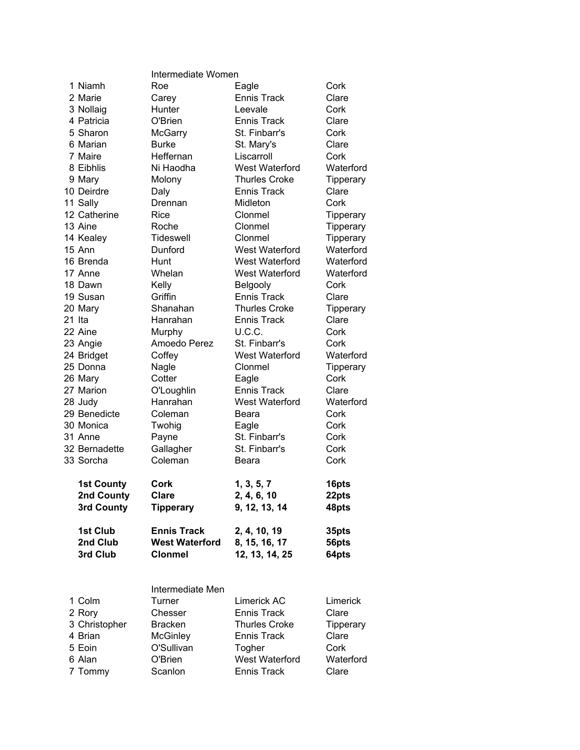|                   | Intermediate Women    |                       |                  |  |
|-------------------|-----------------------|-----------------------|------------------|--|
| 1 Niamh           | Roe                   | Eagle                 | Cork             |  |
| 2 Marie           | Carey                 | <b>Ennis Track</b>    | Clare            |  |
| 3 Nollaig         | Hunter                | Leevale               | Cork             |  |
| 4 Patricia        | O'Brien               | <b>Ennis Track</b>    | Clare            |  |
| 5 Sharon          | McGarry               | St. Finbarr's         | Cork             |  |
| 6 Marian          | <b>Burke</b>          | St. Mary's            | Clare            |  |
| 7 Maire           | Heffernan             | Liscarroll            | Cork             |  |
| 8 Eibhlis         | Ni Haodha             | West Waterford        | Waterford        |  |
| 9 Mary            | Molony                | <b>Thurles Croke</b>  | Tipperary        |  |
| 10 Deirdre        | Daly                  | <b>Ennis Track</b>    | Clare            |  |
| 11 Sally          | Drennan               | Midleton              | Cork             |  |
| 12 Catherine      | Rice                  | Clonmel               | Tipperary        |  |
| 13 Aine           | Roche                 | Clonmel               | <b>Tipperary</b> |  |
| 14 Kealey         | Tideswell             | Clonmel               | Tipperary        |  |
| 15 Ann            | Dunford               | West Waterford        | Waterford        |  |
| 16 Brenda         | Hunt                  | West Waterford        | Waterford        |  |
| 17 Anne           | Whelan                | <b>West Waterford</b> | Waterford        |  |
| 18 Dawn           | Kelly                 | Belgooly              | Cork             |  |
| 19 Susan          | Griffin               | <b>Ennis Track</b>    | Clare            |  |
| 20 Mary           | Shanahan              | <b>Thurles Croke</b>  | Tipperary        |  |
| 21 Ita            | Hanrahan              | <b>Ennis Track</b>    | Clare            |  |
| 22 Aine           | Murphy                | U.C.C.                | Cork             |  |
| 23 Angie          | Amoedo Perez          | St. Finbarr's         | Cork             |  |
| 24 Bridget        | Coffey                | <b>West Waterford</b> | Waterford        |  |
| 25 Donna          | Nagle                 | Clonmel               | Tipperary        |  |
| 26 Mary           | Cotter                | Eagle                 | Cork             |  |
| 27 Marion         | O'Loughlin            | <b>Ennis Track</b>    | Clare            |  |
| 28 Judy           | Hanrahan              | <b>West Waterford</b> | Waterford        |  |
| 29 Benedicte      | Coleman               | Beara                 | Cork             |  |
| 30 Monica         | Twohig                | Eagle                 | Cork             |  |
| 31 Anne           | Payne                 | St. Finbarr's         | Cork             |  |
| 32 Bernadette     | Gallagher             | St. Finbarr's         | Cork             |  |
| 33 Sorcha         | Coleman               | Beara                 | Cork             |  |
|                   |                       |                       |                  |  |
| <b>1st County</b> | Cork                  | 1, 3, 5, 7            | 16pts            |  |
| 2nd County        | <b>Clare</b>          | 2, 4, 6, 10           | 22pts            |  |
| 3rd County        | <b>Tipperary</b>      | 9, 12, 13, 14         | 48pts            |  |
| 1st Club          | <b>Ennis Track</b>    | 2, 4, 10, 19          | 35pts            |  |
| 2nd Club          | <b>West Waterford</b> | 8, 15, 16, 17         | 56pts            |  |
| 3rd Club          | <b>Clonmel</b>        | 12, 13, 14, 25        | 64pts            |  |
|                   |                       |                       |                  |  |
|                   | Intermediate Men      |                       |                  |  |
| 1 Colm            | Turner                | Limerick AC           | Limerick         |  |
| 2 Rory            | Chesser               | Ennis Track           | Clare            |  |
| 3 Christopher     | <b>Bracken</b>        | <b>Thurles Croke</b>  | Tipperary        |  |
| 4 Brian           | <b>McGinley</b>       | Ennis Track           | Clare            |  |
| 5 Eoin            | O'Sullivan            | Togher                | Cork             |  |
| 6 Alan            | O'Brien               | West Waterford        | Waterford        |  |
| 7 Tommy           | Scanlon               | <b>Ennis Track</b>    | Clare            |  |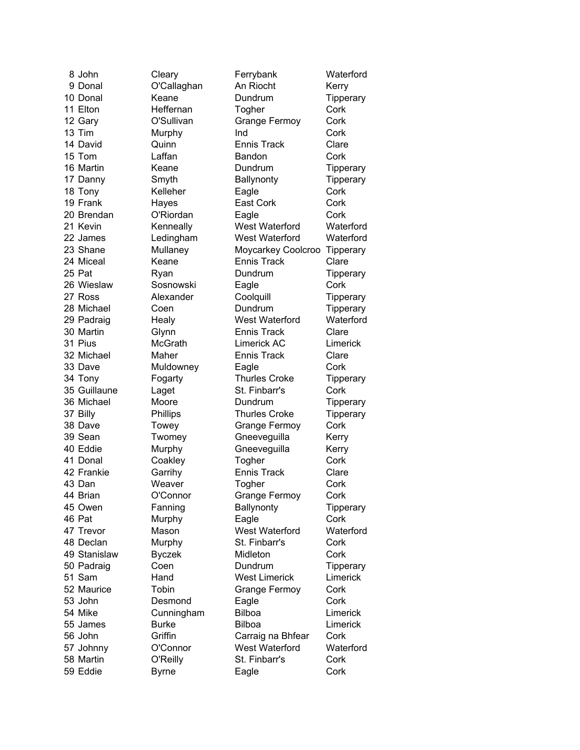8 John Cleary Ferrybank Waterford 9 Donal **O'Callaghan** An Riocht Kerry 10 Donal Keane Dundrum Tipperary 11 Elton Heffernan Togher Cork 12 Gary **O'Sullivan** Grange Fermoy Cork 13 Tim Murphy Ind Cork 14 David **Quinn Ennis Track** Clare 15 Tom Laffan Bandon Cork 16 Martin **Keane Dundrum** Tipperary 17 Danny Smyth Ballynonty Tipperary 18 Tony **Kelleher** Eagle Cork 19 Frank Hayes East Cork Cork 20 Brendan O'Riordan Eagle Cork 21 Kevin **Kenneally** West Waterford Waterford 22 James Ledingham West Waterford Waterford 23 Shane Mullaney Moycarkey Coolcroo Tipperary 24 Miceal Keane Ennis Track Clare 25 Pat **Ryan** Ryan Dundrum Tipperary 26 Wieslaw Sosnowski Eagle Cork 27 Ross **Alexander** Coolquill **Tipperary** 28 Michael Coen Dundrum Tipperary 29 Padraig Healy West Waterford Waterford 30 Martin Glynn Ennis Track Clare 31 Pius McGrath Limerick AC Limerick 32 Michael Maher Ennis Track Clare 33 Dave Muldowney Eagle Cork 34 Tony **Fogarty** Thurles Croke Tipperary 35 Guillaune Laget St. Finbarr's Cork 36 Michael Moore Dundrum Tipperary 37 Billy **Phillips** Thurles Croke Tipperary 38 Dave Towey Grange Fermoy Cork 39 Sean Twomey Gneeveguilla Kerry 40 Eddie Murphy Gneeveguilla Kerry 41 Donal Coakley Togher Cork 42 Frankie Garrihy Ennis Track Clare 43 Dan Weaver Togher Cork 44 Brian O'Connor Grange Fermoy Cork 45 Owen **Fanning** Ballynonty **Tipperary** 46 Pat **Murphy** Eagle Cork 47 Trevor Mason West Waterford Waterford 48 Declan Murphy St. Finbarr's Cork 49 Stanislaw Byczek Midleton Cork 50 Padraig Coen Dundrum Tipperary 51 Sam Hand West Limerick Limerick 52 Maurice Tobin Grange Fermoy Cork 53 John Desmond Eagle Cork 54 Mike Cunningham Bilboa Limerick 55 James Burke Bilboa Limerick 56 John Griffin Carraig na Bhfear Cork 57 Johnny O'Connor West Waterford Waterford 58 Martin O'Reilly St. Finbarr's Cork 59 Eddie Byrne Eagle Cork